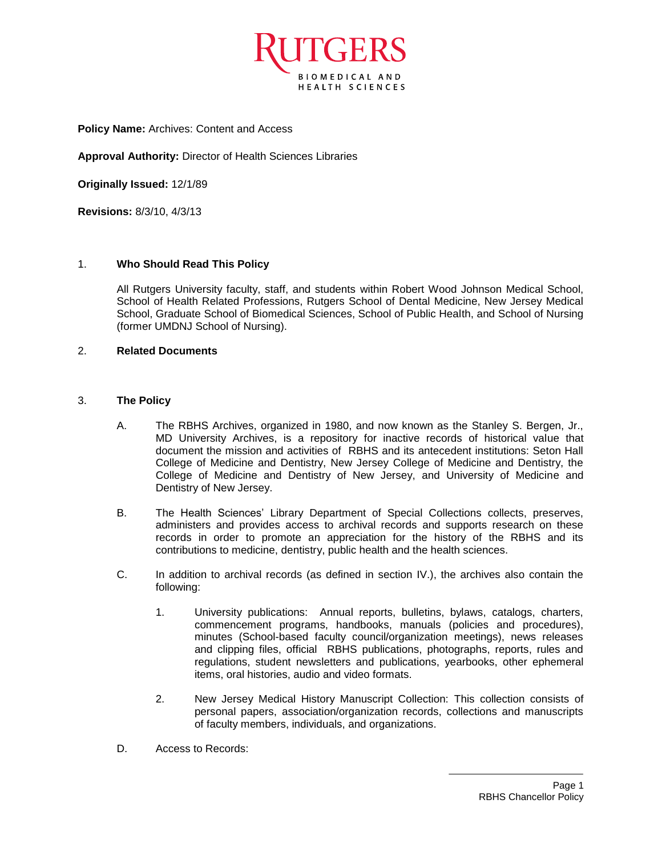

**Policy Name:** Archives: Content and Access

**Approval Authority:** Director of Health Sciences Libraries

**Originally Issued:** 12/1/89

**Revisions:** 8/3/10, 4/3/13

## 1. **Who Should Read This Policy**

All Rutgers University faculty, staff, and students within Robert Wood Johnson Medical School, School of Health Related Professions, Rutgers School of Dental Medicine, New Jersey Medical School, Graduate School of Biomedical Sciences, School of Public Health, and School of Nursing (former UMDNJ School of Nursing).

## 2. **Related Documents**

## 3. **The Policy**

- A. The RBHS Archives, organized in 1980, and now known as the Stanley S. Bergen, Jr., MD University Archives, is a repository for inactive records of historical value that document the mission and activities of RBHS and its antecedent institutions: Seton Hall College of Medicine and Dentistry, New Jersey College of Medicine and Dentistry, the College of Medicine and Dentistry of New Jersey, and University of Medicine and Dentistry of New Jersey.
- B. The Health Sciences' Library Department of Special Collections collects, preserves, administers and provides access to archival records and supports research on these records in order to promote an appreciation for the history of the RBHS and its contributions to medicine, dentistry, public health and the health sciences.
- C. In addition to archival records (as defined in section IV.), the archives also contain the following:
	- 1. University publications: Annual reports, bulletins, bylaws, catalogs, charters, commencement programs, handbooks, manuals (policies and procedures), minutes (School-based faculty council/organization meetings), news releases and clipping files, official RBHS publications, photographs, reports, rules and regulations, student newsletters and publications, yearbooks, other ephemeral items, oral histories, audio and video formats.
	- 2. New Jersey Medical History Manuscript Collection: This collection consists of personal papers, association/organization records, collections and manuscripts of faculty members, individuals, and organizations.
- D. Access to Records: